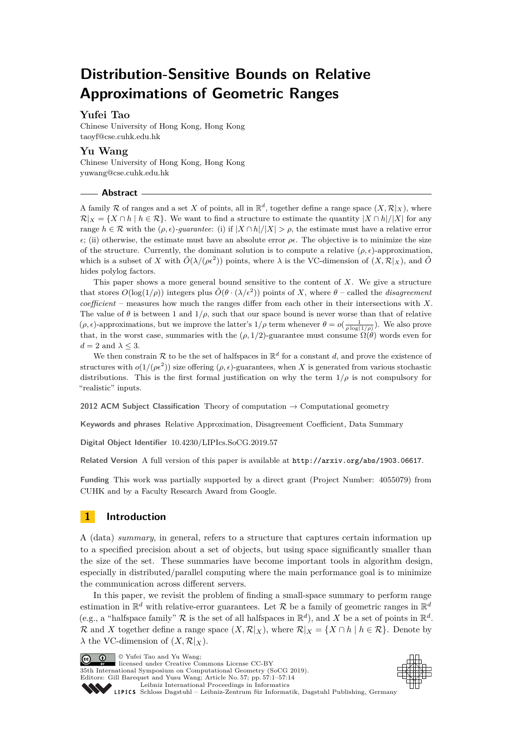# **Distribution-Sensitive Bounds on Relative Approximations of Geometric Ranges**

## **Yufei Tao**

Chinese University of Hong Kong, Hong Kong [taoyf@cse.cuhk.edu.hk](mailto:taoyf@cse.cuhk.edu.hk)

## **Yu Wang**

Chinese University of Hong Kong, Hong Kong [yuwang@cse.cuhk.edu.hk](mailto:yuwang@cse.cuhk.edu.hk)

#### **Abstract**

A family R of ranges and a set X of points, all in  $\mathbb{R}^d$ , together define a range space  $(X, \mathcal{R}|_X)$ , where  $\mathcal{R}|_X = \{X \cap h \mid h \in \mathcal{R}\}.$  We want to find a structure to estimate the quantity  $|X \cap h|/|X|$  for any range  $h \in \mathcal{R}$  with the  $(\rho, \epsilon)$ -*guarantee*: (i) if  $|X \cap h|/|X| > \rho$ , the estimate must have a relative error  $\epsilon$ ; (ii) otherwise, the estimate must have an absolute error  $\rho \epsilon$ . The objective is to minimize the size of the structure. Currently, the dominant solution is to compute a relative  $(\rho, \epsilon)$ -approximation, which is a subset of *X* with  $\tilde{O}(\lambda/(\rho\epsilon^2))$  points, where  $\lambda$  is the VC-dimension of  $(X,\mathcal{R}|_X)$ , and  $\tilde{O}$ hides polylog factors.

This paper shows a more general bound sensitive to the content of *X*. We give a structure that stores  $O(\log(1/\rho))$  integers plus  $\tilde{O}(\theta \cdot (\lambda/\epsilon^2))$  points of X, where  $\theta$  – called the *disagreement coefficient* – measures how much the ranges differ from each other in their intersections with *X*. The value of  $\theta$  is between 1 and  $1/\rho$ , such that our space bound is never worse than that of relative  $(\rho, \epsilon)$ -approximations, but we improve the latter's  $1/\rho$  term whenever  $\theta = o(\frac{1}{\rho \log(1/\rho)})$ . We also prove that, in the worst case, summaries with the ( $\rho$ , 1/2)-guarantee must consume  $\Omega(\theta)$  words even for  $d = 2$  and  $\lambda \leq 3$ .

We then constrain  $\mathcal R$  to be the set of halfspaces in  $\mathbb R^d$  for a constant *d*, and prove the existence of structures with  $o(1/(\rho \epsilon^2))$  size offering  $(\rho, \epsilon)$ -guarantees, when *X* is generated from various stochastic distributions. This is the first formal justification on why the term  $1/\rho$  is not compulsory for "realistic" inputs.

**2012 ACM Subject Classification** Theory of computation → Computational geometry

**Keywords and phrases** Relative Approximation, Disagreement Coefficient, Data Summary

**Digital Object Identifier** [10.4230/LIPIcs.SoCG.2019.57](https://doi.org/10.4230/LIPIcs.SoCG.2019.57)

**Related Version** A full version of this paper is available at <http://arxiv.org/abs/1903.06617>.

**Funding** This work was partially supported by a direct grant (Project Number: 4055079) from CUHK and by a Faculty Research Award from Google.

## **1 Introduction**

A (data) *summary*, in general, refers to a structure that captures certain information up to a specified precision about a set of objects, but using space significantly smaller than the size of the set. These summaries have become important tools in algorithm design, especially in distributed/parallel computing where the main performance goal is to minimize the communication across different servers.

In this paper, we revisit the problem of finding a small-space summary to perform range estimation in  $\mathbb{R}^d$  with relative-error guarantees. Let R be a family of geometric ranges in  $\mathbb{R}^d$ (e.g., a "halfspace family" R is the set of all halfspaces in  $\mathbb{R}^d$ ), and X be a set of points in  $\mathbb{R}^d$ . R and X together define a range space  $(X, \mathcal{R}|_X)$ , where  $\mathcal{R}|_X = \{X \cap h \mid h \in \mathcal{R}\}\.$  Denote by  $\lambda$  the VC-dimension of  $(X, \mathcal{R}|_X)$ .

Co  $\boxed{ \bigcirc \hspace{-0.6em} \bigcirc \hspace{-0.6em} \bigcirc \hspace{-0.6em} \bigcirc \hspace{-0.6em} \bigcirc \hspace{-0.6em} \bigcirc \hspace{-0.6em} \bigcirc \hspace{-0.6em} \bigcirc \hspace{-0.6em} \bigcirc \hspace{-0.6em} \bigcirc \hspace{-0.6em} \bigcirc \hspace{-0.6em} \bigcirc \hspace{-0.6em} \bigcirc \hspace{-0.6em} \bigcirc \hspace{-0.6em} \bigcirc \hspace{-0.6em} \bigcirc \hspace{-0.6em} \bigcirc \hspace{-0.6em} \bigcirc \hspace{-0.6em$ licensed under Creative Commons License CC-BY 35th International Symposium on Computational Geometry (SoCG 2019). Editors: Gill Barequet and Yusu Wang; Article No. 57; pp. 57:1–57[:14](#page-13-0) [Leibniz International Proceedings in Informatics](https://www.dagstuhl.de/lipics/) [Schloss Dagstuhl – Leibniz-Zentrum für Informatik, Dagstuhl Publishing, Germany](https://www.dagstuhl.de)



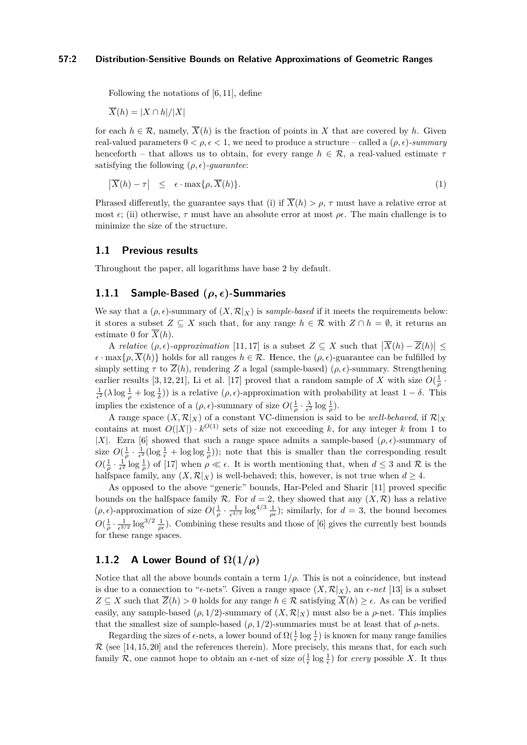Following the notations of [\[6,](#page-13-1) [11\]](#page-13-2), define

 $\overline{X}(h) = |X \cap h|/|X|$ 

for each  $h \in \mathcal{R}$ , namely,  $\overline{X}(h)$  is the fraction of points in X that are covered by h. Given real-valued parameters  $0 < \rho, \epsilon < 1$ , we need to produce a structure – called a  $(\rho, \epsilon)$ -summary henceforth – that allows us to obtain, for every range  $h \in \mathcal{R}$ , a real-valued estimate  $\tau$ satisfying the following  $(\rho, \epsilon)$ *-guarantee*:

$$
\left|\overline{X}(h)-\tau\right| \leq \epsilon \cdot \max\{\rho, \overline{X}(h)\}.
$$
\n(1)

Phrased differently, the guarantee says that (i) if  $\overline{X}(h) > \rho$ ,  $\tau$  must have a relative error at most  $\epsilon$ ; (ii) otherwise,  $\tau$  must have an absolute error at most  $\rho\epsilon$ . The main challenge is to minimize the size of the structure.

#### <span id="page-1-0"></span>**1.1 Previous results**

Throughout the paper, all logarithms have base 2 by default.

### **1.1.1 Sample-Based (***ρ,* **)-Summaries**

We say that a  $(\rho, \epsilon)$ -summary of  $(X, \mathcal{R}|_X)$  is *sample-based* if it meets the requirements below: it stores a subset  $Z \subseteq X$  such that, for any range  $h \in \mathcal{R}$  with  $Z \cap h = \emptyset$ , it returns an estimate 0 for  $\overline{X}(h)$ .

A *relative*  $(\rho, \epsilon)$ -approximation [\[11,](#page-13-2) [17\]](#page-13-3) is a subset  $Z \subseteq X$  such that  $|\overline{X}(h) - \overline{Z}(h)| \leq$  $\epsilon \cdot \max\{\rho, \overline{X}(h)\}\)$  holds for all ranges  $h \in \mathcal{R}$ . Hence, the  $(\rho, \epsilon)$ -guarantee can be fulfilled by simply setting  $\tau$  to  $\overline{Z}(h)$ , rendering  $Z$  a legal (sample-based) ( $\rho, \epsilon$ )-summary. Strengthening earlier results [\[3,](#page-13-4) [12,](#page-13-5) [21\]](#page-13-6), Li et al. [\[17\]](#page-13-3) proved that a random sample of *X* with size  $O(\frac{1}{\rho} \cdot \frac{1}{\rho})$  $\frac{1}{\epsilon^2}(\lambda \log \frac{1}{\rho} + \log \frac{1}{\delta})$  is a relative  $(\rho, \epsilon)$ -approximation with probability at least  $1 - \delta$ . This implies the existence of a  $(\rho, \epsilon)$ -summary of size  $O(\frac{1}{\rho} \cdot \frac{\lambda}{\epsilon^2} \log \frac{1}{\rho})$ .

A range space  $(X, \mathcal{R}|_X)$  of a constant VC-dimension is said to be *well-behaved*, if  $\mathcal{R}|_X$ contains at most  $O(|X|) \cdot k^{O(1)}$  sets of size not exceeding k, for any integer k from 1 to |*X*|. Ezra [\[6\]](#page-13-1) showed that such a range space admits a sample-based  $(\rho, \epsilon)$ -summary of size  $O(\frac{1}{\rho} \cdot \frac{1}{\epsilon^2} (\log \frac{1}{\epsilon} + \log \log \frac{1}{\rho}))$ ; note that this is smaller than the corresponding result  $O(\frac{1}{\rho} \cdot \frac{1}{\epsilon^2} \log \frac{1}{\rho})$  of [\[17\]](#page-13-3) when  $\rho \ll \epsilon$ . It is worth mentioning that, when  $d \leq 3$  and  $\mathcal R$  is the halfspace family, any  $(X, \mathcal{R}|_X)$  is well-behaved; this, however, is not true when  $d \geq 4$ .

As opposed to the above "generic" bounds, Har-Peled and Sharir [\[11\]](#page-13-2) proved specific bounds on the halfspace family  $\mathcal R$ . For  $d = 2$ , they showed that any  $(X, \mathcal R)$  has a relative  $(\rho, \epsilon)$ -approximation of size  $O(\frac{1}{\rho} \cdot \frac{1}{\epsilon^{4/3}} \log^{4/3} \frac{1}{\rho \epsilon})$ ; similarly, for  $d = 3$ , the bound becomes  $O(\frac{1}{\rho} \cdot \frac{1}{\epsilon^{3/2}} \log^{3/2} \frac{1}{\rho \epsilon})$ . Combining these results and those of [\[6\]](#page-13-1) gives the currently best bounds for these range spaces.

## **1.1.2** A Lower Bound of  $\Omega(1/\rho)$

Notice that all the above bounds contain a term  $1/\rho$ . This is not a coincidence, but instead is due to a connection to " $\epsilon$ -nets". Given a range space  $(X, \mathcal{R}|_X)$ , an  $\epsilon$ -net [\[13\]](#page-13-7) is a subset *Z* ⊆ *X* such that  $\overline{Z}(h) > 0$  holds for any range  $h \in \mathcal{R}$  satisfying  $\overline{X}(h) \geq \epsilon$ . As can be verified easily, any sample-based  $(\rho, 1/2)$ -summary of  $(X, \mathcal{R}|_X)$  must also be a  $\rho$ -net. This implies that the smallest size of sample-based  $(\rho, 1/2)$ -summaries must be at least that of  $\rho$ -nets.

Regarding the sizes of  $\epsilon$ -nets, a lower bound of  $\Omega(\frac{1}{\epsilon} \log \frac{1}{\epsilon})$  is known for many range families  $\mathcal{R}$  (see [\[14,](#page-13-8) [15,](#page-13-9) [20\]](#page-13-10) and the references therein). More precisely, this means that, for each such family R, one cannot hope to obtain an  $\epsilon$ -net of size  $o(\frac{1}{\epsilon} \log \frac{1}{\epsilon})$  for *every* possible X. It thus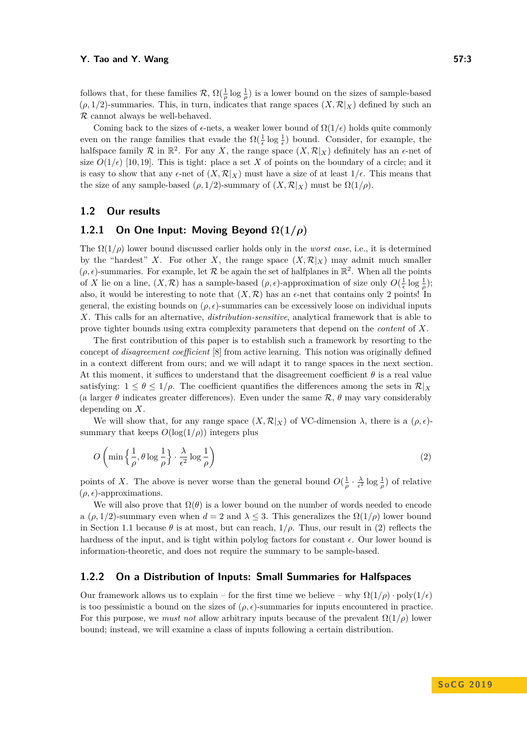R cannot always be well-behaved.

follows that, for these families  $\mathcal{R}, \Omega(\frac{1}{\rho}\log \frac{1}{\rho})$  is a lower bound on the sizes of sample-based  $(\rho, 1/2)$ -summaries. This, in turn, indicates that range spaces  $(X, \mathcal{R}|_X)$  defined by such an

Coming back to the sizes of  $\epsilon$ -nets, a weaker lower bound of  $\Omega(1/\epsilon)$  holds quite commonly even on the range families that evade the  $\Omega(\frac{1}{\epsilon} \log \frac{1}{\epsilon})$  bound. Consider, for example, the halfspace family  $\mathcal R$  in  $\mathbb R^2$ . For any *X*, the range space  $(X, \mathcal R|_X)$  definitely has an  $\epsilon$ -net of size  $O(1/\epsilon)$  [\[10,](#page-13-11) [19\]](#page-13-12). This is tight: place a set X of points on the boundary of a circle; and it is easy to show that any  $\epsilon$ -net of  $(X, \mathcal{R}|_X)$  must have a size of at least  $1/\epsilon$ . This means that the size of any sample-based ( $\rho$ , 1/2)-summary of  $(X, \mathcal{R}|_X)$  must be  $\Omega(1/\rho)$ .

## <span id="page-2-1"></span>**1.2 Our results**

## **1.2.1** On One Input: Moving Beyond  $\Omega(1/\rho)$

The  $\Omega(1/\rho)$  lower bound discussed earlier holds only in the *worst case*, i.e., it is determined by the "hardest" *X*. For other *X*, the range space  $(X, \mathcal{R}|_X)$  may admit much smaller  $(\rho, \epsilon)$ -summaries. For example, let  $\mathcal R$  be again the set of halfplanes in  $\mathbb R^2$ . When all the points of *X* lie on a line,  $(X, \mathcal{R})$  has a sample-based  $(\rho, \epsilon)$ -approximation of size only  $O(\frac{1}{\epsilon} \log \frac{1}{\rho})$ ; also, it would be interesting to note that  $(X,\mathcal{R})$  has an  $\epsilon$ -net that contains only 2 points! In general, the existing bounds on  $(\rho, \epsilon)$ -summaries can be excessively loose on individual inputs *X*. This calls for an alternative, *distribution-sensitive*, analytical framework that is able to prove tighter bounds using extra complexity parameters that depend on the *content* of *X*.

The first contribution of this paper is to establish such a framework by resorting to the concept of *disagreement coefficient* [\[8\]](#page-13-13) from active learning. This notion was originally defined in a context different from ours; and we will adapt it to range spaces in the next section. At this moment, it suffices to understand that the disagreement coefficient  $\theta$  is a real value satisfying:  $1 \leq \theta \leq 1/\rho$ . The coefficient quantifies the differences among the sets in  $\mathcal{R}|_X$ (a larger  $\theta$  indicates greater differences). Even under the same  $\mathcal{R}$ ,  $\theta$  may vary considerably depending on *X*.

We will show that, for any range space  $(X, \mathcal{R}|_X)$  of VC-dimension  $\lambda$ , there is a  $(\rho, \epsilon)$ summary that keeps  $O(\log(1/\rho))$  integers plus

<span id="page-2-0"></span>
$$
O\left(\min\left\{\frac{1}{\rho}, \theta \log \frac{1}{\rho}\right\} \cdot \frac{\lambda}{\epsilon^2} \log \frac{1}{\rho}\right) \tag{2}
$$

points of *X*. The above is never worse than the general bound  $O(\frac{1}{\rho} \cdot \frac{\lambda}{\epsilon^2} \log \frac{1}{\rho})$  of relative  $(\rho, \epsilon)$ -approximations.

We will also prove that  $\Omega(\theta)$  is a lower bound on the number of words needed to encode a ( $\rho$ , 1/2)-summary even when  $d = 2$  and  $\lambda \leq 3$ . This generalizes the  $\Omega(1/\rho)$  lower bound in Section [1.1](#page-1-0) because  $\theta$  is at most, but can reach,  $1/\rho$ . Thus, our result in [\(2\)](#page-2-0) reflects the hardness of the input, and is tight within polylog factors for constant  $\epsilon$ . Our lower bound is information-theoretic, and does not require the summary to be sample-based.

### **1.2.2 On a Distribution of Inputs: Small Summaries for Halfspaces**

Our framework allows us to explain – for the first time we believe – why  $\Omega(1/\rho)$  · poly $(1/\epsilon)$ is too pessimistic a bound on the sizes of  $(\rho, \epsilon)$ -summaries for inputs encountered in practice. For this purpose, we *must not* allow arbitrary inputs because of the prevalent  $\Omega(1/\rho)$  lower bound; instead, we will examine a class of inputs following a certain distribution.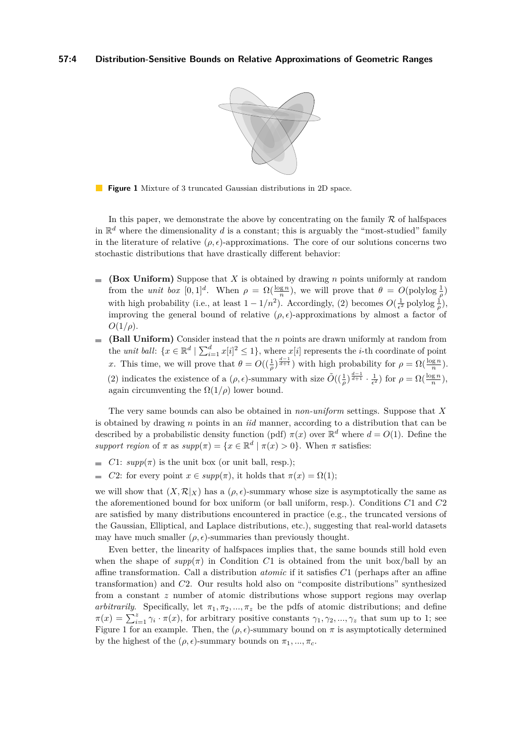

<span id="page-3-0"></span>**Figure 1** Mixture of 3 truncated Gaussian distributions in 2D space.

In this paper, we demonstrate the above by concentrating on the family  $R$  of halfspaces in  $\mathbb{R}^d$  where the dimensionality *d* is a constant; this is arguably the "most-studied" family in the literature of relative  $(\rho, \epsilon)$ -approximations. The core of our solutions concerns two stochastic distributions that have drastically different behavior:

- **(Box Uniform)** Suppose that *X* is obtained by drawing *n* points uniformly at random  $\bar{a}$ from the *unit box*  $[0,1]^d$ . When  $\rho = \Omega(\frac{\log n}{n})$ , we will prove that  $\theta = O(\text{polylog }\frac{1}{\rho})$ with high probability (i.e., at least  $1 - 1/n^2$ ). Accordingly, [\(2\)](#page-2-0) becomes  $O(\frac{1}{\epsilon^2}$  polylog  $\frac{1}{\rho}$ ), improving the general bound of relative  $(\rho, \epsilon)$ -approximations by almost a factor of  $O(1/\rho)$ .
- **(Ball Uniform)** Consider instead that the *n* points are drawn uniformly at random from the *unit ball*:  $\{x \in \mathbb{R}^d \mid \sum_{i=1}^d x[i]^2 \leq 1\}$ , where  $x[i]$  represents the *i*-th coordinate of point *x*. This time, we will prove that  $\theta = O((\frac{1}{\rho})^{\frac{d-1}{d+1}})$  with high probability for  $\rho = \Omega(\frac{\log n}{n})$ . [\(2\)](#page-2-0) indicates the existence of a  $(\rho, \epsilon)$ -summary with size  $\tilde{O}((\frac{1}{\rho})^{\frac{d-1}{d+1}} \cdot \frac{1}{\epsilon^2})$  for  $\rho = \Omega(\frac{\log n}{n})$ , again circumventing the  $\Omega(1/\rho)$  lower bound.

The very same bounds can also be obtained in *non-uniform* settings. Suppose that *X* is obtained by drawing *n* points in an *iid* manner, according to a distribution that can be described by a probabilistic density function (pdf)  $\pi(x)$  over  $\mathbb{R}^d$  where  $d = O(1)$ . Define the *support region* of  $\pi$  as  $supp(\pi) = \{x \in \mathbb{R}^d \mid \pi(x) > 0\}$ . When  $\pi$  satisfies:

- *C*1:  $\textit{supp}(\pi)$  is the unit box (or unit ball, resp.);
- *C*2: for every point  $x \in supp(\pi)$ , it holds that  $\pi(x) = \Omega(1)$ ;  $\overline{a}$

we will show that  $(X,\mathcal{R}|_X)$  has a  $(\rho,\epsilon)$ -summary whose size is asymptotically the same as the aforementioned bound for box uniform (or ball uniform, resp.). Conditions *C*1 and *C*2 are satisfied by many distributions encountered in practice (e.g., the truncated versions of the Gaussian, Elliptical, and Laplace distributions, etc.), suggesting that real-world datasets may have much smaller  $(\rho, \epsilon)$ -summaries than previously thought.

Even better, the linearity of halfspaces implies that, the same bounds still hold even when the shape of  $supp(\pi)$  in Condition C1 is obtained from the unit box/ball by an affine transformation. Call a distribution *atomic* if it satisfies *C*1 (perhaps after an affine transformation) and *C*2. Our results hold also on "composite distributions" synthesized from a constant *z* number of atomic distributions whose support regions may overlap *arbitrarily*. Specifically, let  $\pi_1, \pi_2, ..., \pi_z$  be the pdfs of atomic distributions; and define  $\pi(x) = \sum_{i=1}^{z} \gamma_i \cdot \pi(x)$ , for arbitrary positive constants  $\gamma_1, \gamma_2, ..., \gamma_z$  that sum up to 1; see Figure [1](#page-3-0) for an example. Then, the  $(\rho, \epsilon)$ -summary bound on  $\pi$  is asymptotically determined by the highest of the  $(\rho, \epsilon)$ -summary bounds on  $\pi_1, ..., \pi_c$ .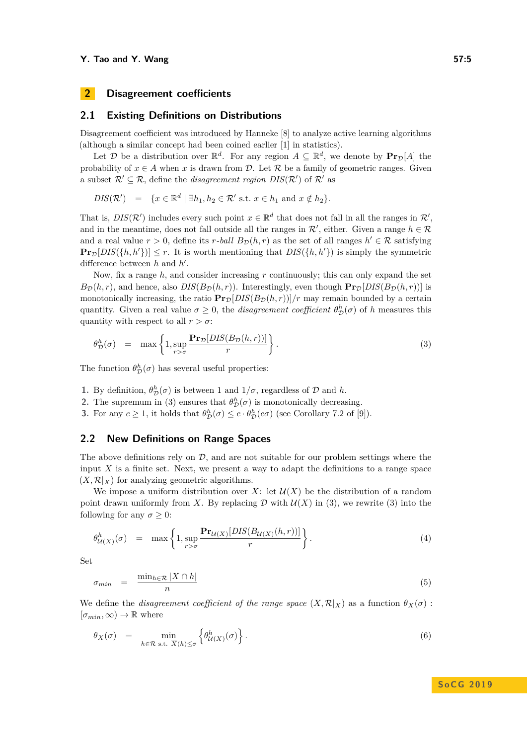## **2 Disagreement coefficients**

#### **2.1 Existing Definitions on Distributions**

Disagreement coefficient was introduced by Hanneke [\[8\]](#page-13-13) to analyze active learning algorithms (although a similar concept had been coined earlier [\[1\]](#page-13-14) in statistics).

Let  $\mathcal{D}$  be a distribution over  $\mathbb{R}^d$ . For any region  $A \subseteq \mathbb{R}^d$ , we denote by  $\text{Pr}_{\mathcal{D}}[A]$  the probability of  $x \in A$  when *x* is drawn from  $D$ . Let  $R$  be a family of geometric ranges. Given a subset  $\mathcal{R}' \subseteq \mathcal{R}$ , define the *disagreement region*  $DIS(\mathcal{R}')$  of  $\mathcal{R}'$  as

<span id="page-4-0"></span> $DIS(\mathcal{R}')$  = { $x \in \mathbb{R}^d \mid \exists h_1, h_2 \in \mathcal{R}'$  s.t.  $x \in h_1$  and  $x \notin h_2$ }*.* 

That is,  $DIS(\mathcal{R}')$  includes every such point  $x \in \mathbb{R}^d$  that does not fall in all the ranges in  $\mathcal{R}',$ and in the meantime, does not fall outside all the ranges in  $\mathcal{R}'$ , either. Given a range  $h \in \mathcal{R}$ and a real value  $r > 0$ , define its  $r$ *-ball*  $B_{\mathcal{D}}(h,r)$  as the set of all ranges  $h' \in \mathcal{R}$  satisfying  $\Pr_{\mathcal{D}}[DIS(\{h, h'\})] \leq r$ . It is worth mentioning that  $DIS(\{h, h'\})$  is simply the symmetric difference between  $h$  and  $h'$ .

Now, fix a range *h*, and consider increasing *r* continuously; this can only expand the set  $B_{\mathcal{D}}(h,r)$ , and hence, also  $DIS(B_{\mathcal{D}}(h,r))$ . Interestingly, even though  $\Pr_{\mathcal{D}}[DIS(B_{\mathcal{D}}(h,r))]$  is monotonically increasing, the ratio  $\mathbf{Pr}_{\mathcal{D}}[DIS(B_{\mathcal{D}}(h,r))]/r$  may remain bounded by a certain quantity. Given a real value  $\sigma \geq 0$ , the *disagreement coefficient*  $\theta_{\mathcal{D}}^{h}(\sigma)$  of *h* measures this quantity with respect to all  $r > \sigma$ :

$$
\theta_{\mathcal{D}}^{h}(\sigma) = \max \left\{ 1, \sup_{r > \sigma} \frac{\mathbf{Pr}_{\mathcal{D}}[DIS(B_{\mathcal{D}}(h,r))] }{r} \right\}.
$$
\n(3)

The function  $\theta_{\mathcal{D}}^h(\sigma)$  has several useful properties:

- **1.** By definition,  $\theta_{\mathcal{D}}^h(\sigma)$  is between 1 and  $1/\sigma$ , regardless of  $\mathcal{D}$  and  $h$ .
- **2.** The supremum in [\(3\)](#page-4-0) ensures that  $\theta_{\mathcal{D}}^h(\sigma)$  is monotonically decreasing.
- **3.** For any  $c \ge 1$ , it holds that  $\theta_{\mathcal{D}}^h(\sigma) \le c \cdot \theta_{\mathcal{D}}^h(c\sigma)$  (see Corollary 7.2 of [\[9\]](#page-13-15)).

#### **2.2 New Definitions on Range Spaces**

The above definitions rely on  $D$ , and are not suitable for our problem settings where the input *X* is a finite set. Next, we present a way to adapt the definitions to a range space  $(X, \mathcal{R}|_X)$  for analyzing geometric algorithms.

We impose a uniform distribution over *X*: let  $\mathcal{U}(X)$  be the distribution of a random point drawn uniformly from *X*. By replacing  $D$  with  $U(X)$  in [\(3\)](#page-4-0), we rewrite (3) into the following for any  $\sigma \geq 0$ :

<span id="page-4-1"></span>
$$
\theta_{\mathcal{U}(X)}^h(\sigma) = \max \left\{ 1, \sup_{r > \sigma} \frac{\mathbf{Pr}_{\mathcal{U}(X)}[DIS(B_{\mathcal{U}(X)}(h, r))] }{r} \right\}.
$$
\n(4)

Set

<span id="page-4-3"></span>
$$
\sigma_{min} = \frac{\min_{h \in \mathcal{R}} |X \cap h|}{n} \tag{5}
$$

We define the *disagreement coefficient of the range space*  $(X, \mathcal{R}|_X)$  as a function  $\theta_X(\sigma)$ :  $[\sigma_{min}, \infty) \rightarrow \mathbb{R}$  where

<span id="page-4-2"></span>
$$
\theta_X(\sigma) = \min_{h \in \mathcal{R} \text{ s.t. } \overline{X}(h) \le \sigma} \left\{ \theta_{\mathcal{U}(X)}^h(\sigma) \right\}. \tag{6}
$$

## **S o C G 2 0 1 9**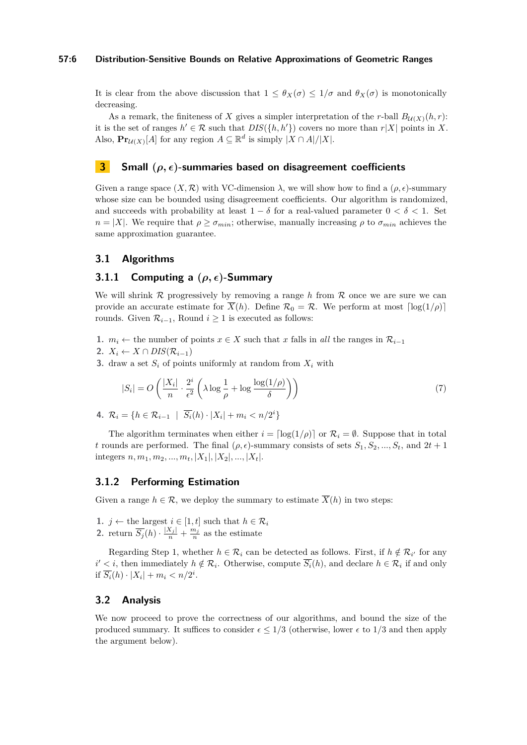#### **57:6 Distribution-Sensitive Bounds on Relative Approximations of Geometric Ranges**

It is clear from the above discussion that  $1 \leq \theta_X(\sigma) \leq 1/\sigma$  and  $\theta_X(\sigma)$  is monotonically decreasing.

As a remark, the finiteness of *X* gives a simpler interpretation of the *r*-ball  $B_{\mathcal{U}(X)}(h,r)$ : it is the set of ranges  $h' \in \mathcal{R}$  such that  $DIS({h, h')})$  covers no more than  $r|X|$  points in X. Also,  $\mathbf{Pr}_{\mathcal{U}(X)}[A]$  for any region  $A \subseteq \mathbb{R}^d$  is simply  $|X \cap A|/|X|$ .

#### **3 Small (***ρ,* **)-summaries based on disagreement coefficients**

Given a range space  $(X, \mathcal{R})$  with VC-dimension  $\lambda$ , we will show how to find a  $(\rho, \epsilon)$ -summary whose size can be bounded using disagreement coefficients. Our algorithm is randomized, and succeeds with probability at least  $1 - \delta$  for a real-valued parameter  $0 < \delta < 1$ . Set *n* = |*X*|. We require that  $\rho \ge \sigma_{min}$ ; otherwise, manually increasing  $\rho$  to  $\sigma_{min}$  achieves the same approximation guarantee.

## <span id="page-5-2"></span>**3.1 Algorithms**

## **3.1.1 Computing a (***ρ,* **)-Summary**

We will shrink  $R$  progressively by removing a range h from  $R$  once we are sure we can provide an accurate estimate for  $\overline{X}(h)$ . Define  $\mathcal{R}_0 = \mathcal{R}$ . We perform at most  $\lceil \log(1/\rho) \rceil$ rounds. Given  $\mathcal{R}_{i-1}$ , Round *i* ≥ 1 is executed as follows:

- **1.**  $m_i$  ← the number of points  $x \in X$  such that  $x$  falls in *all* the ranges in  $\mathcal{R}_{i-1}$
- 2.  $X_i \leftarrow X \cap DIS(\mathcal{R}_{i-1})$
- **3.** draw a set  $S_i$  of points uniformly at random from  $X_i$  with

<span id="page-5-0"></span>
$$
|S_i| = O\left(\frac{|X_i|}{n} \cdot \frac{2^i}{\epsilon^2} \left(\lambda \log \frac{1}{\rho} + \log \frac{\log(1/\rho)}{\delta}\right)\right) \tag{7}
$$

**4.**  $\mathcal{R}_i = \{h \in \mathcal{R}_{i-1} \mid \overline{S_i}(h) \cdot |X_i| + m_i < n/2^i\}$ 

The algorithm terminates when either  $i = \lfloor \log(1/\rho) \rfloor$  or  $\mathcal{R}_i = \emptyset$ . Suppose that in total *t* rounds are performed. The final  $(\rho, \epsilon)$ -summary consists of sets  $S_1, S_2, ..., S_t$ , and  $2t + 1$ integers  $n, m_1, m_2, ..., m_t, |X_1|, |X_2|, ..., |X_t|$ .

## <span id="page-5-1"></span>**3.1.2 Performing Estimation**

Given a range  $h \in \mathcal{R}$ , we deploy the summary to estimate  $\overline{X}(h)$  in two steps:

**1.** *j* ← the largest *i* ∈ [1, *t*] such that  $h \in \mathcal{R}_i$ **2.** return  $\overline{S_j}(h) \cdot \frac{|X_j|}{n} + \frac{m_j}{n}$  as the estimate

Regarding Step 1, whether  $h \in \mathcal{R}_i$  can be detected as follows. First, if  $h \notin \mathcal{R}_{i'}$  for any  $i' < i$ , then immediately  $h \notin \mathcal{R}_i$ . Otherwise, compute  $\overline{S_i}(h)$ , and declare  $h \in \mathcal{R}_i$  if and only if  $\overline{S_i}(h) \cdot |X_i| + m_i < n/2^i$ .

#### **3.2 Analysis**

We now proceed to prove the correctness of our algorithms, and bound the size of the produced summary. It suffices to consider  $\epsilon \leq 1/3$  (otherwise, lower  $\epsilon$  to 1/3 and then apply the argument below).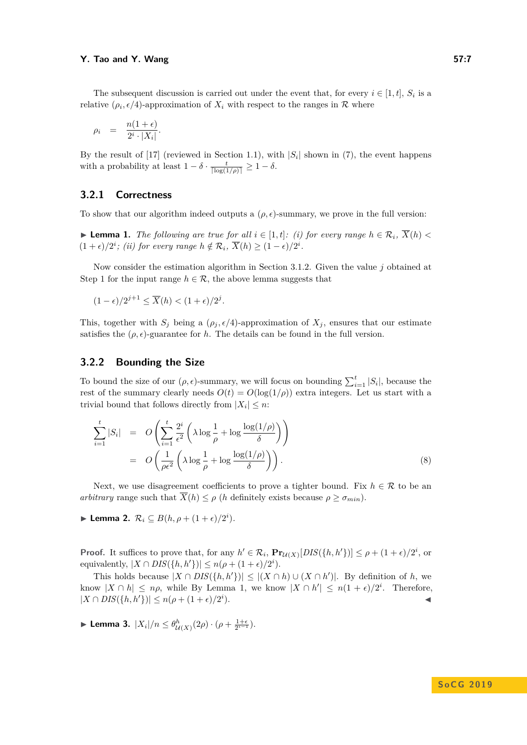#### **Y.** Tao and Y. Wang 57:7

The subsequent discussion is carried out under the event that, for every  $i \in [1, t]$ ,  $S_i$  is a relative  $(\rho_i, \epsilon/4)$ -approximation of  $X_i$  with respect to the ranges in R where

<span id="page-6-2"></span>
$$
\rho_i = \frac{n(1+\epsilon)}{2^i \cdot |X_i|}
$$

*.*

By the result of  $[17]$  (reviewed in Section [1.1\)](#page-1-0), with  $|S_i|$  shown in  $(7)$ , the event happens with a probability at least  $1 - \delta \cdot \frac{t}{\lceil \log(1/\rho) \rceil} \geq 1 - \delta$ .

## **3.2.1 Correctness**

To show that our algorithm indeed outputs a  $(\rho, \epsilon)$ -summary, we prove in the full version:

<span id="page-6-0"></span>▶ **Lemma 1.** *The following are true for all*  $i \in [1, t]$ *: (i) for every range*  $h \in \mathcal{R}_i$ *,*  $\overline{X}(h)$  <  $(1 + \epsilon)/2^i$ ; *(ii) for every range*  $h \notin \mathcal{R}_i$ ,  $\overline{X}(h) \geq (1 - \epsilon)/2^i$ .

Now consider the estimation algorithm in Section [3.1.2.](#page-5-1) Given the value *j* obtained at Step 1 for the input range  $h \in \mathcal{R}$ , the above lemma suggests that

$$
(1 - \epsilon)/2^{j+1} \le \overline{X}(h) < (1 + \epsilon)/2^j.
$$

This, together with  $S_j$  being a  $(\rho_j, \epsilon/4)$ -approximation of  $X_j$ , ensures that our estimate satisfies the  $(\rho, \epsilon)$ -guarantee for *h*. The details can be found in the full version.

## **3.2.2 Bounding the Size**

To bound the size of our  $(\rho, \epsilon)$ -summary, we will focus on bounding  $\sum_{i=1}^{t} |S_i|$ , because the rest of the summary clearly needs  $O(t) = O(\log(1/\rho))$  extra integers. Let us start with a trivial bound that follows directly from  $|X_i| \leq n$ :

$$
\sum_{i=1}^{t} |S_i| = O\left(\sum_{i=1}^{t} \frac{2^i}{\epsilon^2} \left(\lambda \log \frac{1}{\rho} + \log \frac{\log(1/\rho)}{\delta}\right)\right)
$$
  
= 
$$
O\left(\frac{1}{\rho \epsilon^2} \left(\lambda \log \frac{1}{\rho} + \log \frac{\log(1/\rho)}{\delta}\right)\right).
$$
 (8)

Next, we use disagreement coefficients to prove a tighter bound. Fix  $h \in \mathcal{R}$  to be an *arbitrary* range such that  $\overline{X}(h) \leq \rho$  (*h* definitely exists because  $\rho \geq \sigma_{min}$ ).

<span id="page-6-1"></span>► Lemma 2.  $\mathcal{R}_i$  ⊆  $B(h, \rho + (1+\epsilon)/2^i)$ .

**Proof.** It suffices to prove that, for any  $h' \in \mathcal{R}_i$ ,  $\mathbf{Pr}_{\mathcal{U}(X)}[DIS({h, h')})] \leq \rho + (1 + \epsilon)/2^i$ , or equivalently,  $|X \cap DIS(\lbrace h, h' \rbrace)| \leq n(\rho + (1 + \epsilon)/2^i)$ .

This holds because  $|X \cap DIS(\lbrace h, h' \rbrace)| \leq |(X \cap h) \cup (X \cap h')|$ . By definition of *h*, we know  $|X \cap h| \leq n\rho$ , while By Lemma [1,](#page-6-0) we know  $|X \cap h'| \leq n(1+\epsilon)/2^i$ . Therefore,  $|X \cap DIS(\{h, h'\})| \leq n(\rho + (1 + \epsilon)/2^i)$  $\blacksquare$ ).

► Lemma 3.  $|X_i|/n \leq \theta_{\mathcal{U}(X)}^h(2\rho) \cdot (\rho + \frac{1+\epsilon}{2^{i-1}})$ *.*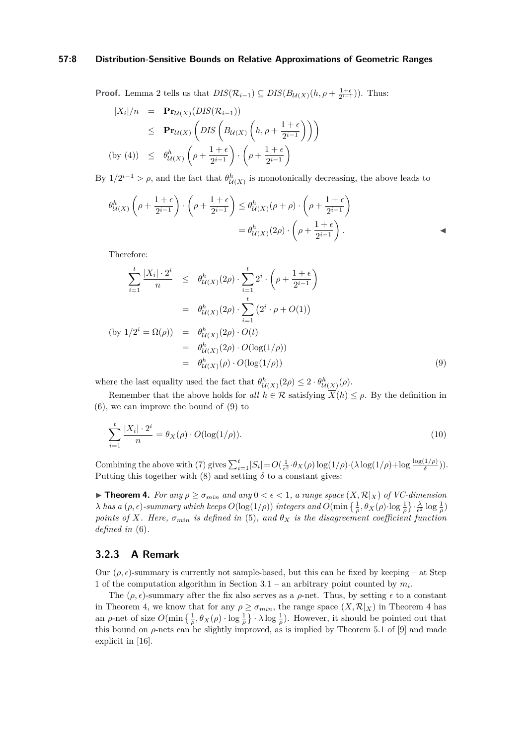#### **57:8 Distribution-Sensitive Bounds on Relative Approximations of Geometric Ranges**

**Proof.** Lemma [2](#page-6-1) tells us that  $DIS(\mathcal{R}_{i-1}) \subseteq DIS(B_{\mathcal{U}(X)}(h, \rho + \frac{1+\epsilon}{2^{i-1}}))$ . Thus:

<span id="page-7-0"></span>
$$
|X_i|/n = \mathbf{Pr}_{\mathcal{U}(X)}(DIS(\mathcal{R}_{i-1}))
$$
  
\n
$$
\leq \mathbf{Pr}_{\mathcal{U}(X)}\left( DIS\left(B_{\mathcal{U}(X)}\left(h, \rho + \frac{1+\epsilon}{2^{i-1}}\right)\right)\right)
$$
  
\n(by (4)) 
$$
\leq \theta_{\mathcal{U}(X)}^h\left(\rho + \frac{1+\epsilon}{2^{i-1}}\right) \cdot \left(\rho + \frac{1+\epsilon}{2^{i-1}}\right)
$$

By  $1/2^{i-1} > \rho$ , and the fact that  $\theta_{\mathcal{U}(X)}^h$  is monotonically decreasing, the above leads to

$$
\theta_{\mathcal{U}(X)}^h \left( \rho + \frac{1+\epsilon}{2^{i-1}} \right) \cdot \left( \rho + \frac{1+\epsilon}{2^{i-1}} \right) \leq \theta_{\mathcal{U}(X)}^h (\rho + \rho) \cdot \left( \rho + \frac{1+\epsilon}{2^{i-1}} \right)
$$

$$
= \theta_{\mathcal{U}(X)}^h (2\rho) \cdot \left( \rho + \frac{1+\epsilon}{2^{i-1}} \right).
$$

Therefore:

$$
\sum_{i=1}^{t} \frac{|X_i| \cdot 2^i}{n} \leq \theta_{\mathcal{U}(X)}^h(2\rho) \cdot \sum_{i=1}^{t} 2^i \cdot \left(\rho + \frac{1+\epsilon}{2^{i-1}}\right)
$$
\n
$$
= \theta_{\mathcal{U}(X)}^h(2\rho) \cdot \sum_{i=1}^{t} \left(2^i \cdot \rho + O(1)\right)
$$
\n(by  $1/2^i = \Omega(\rho)$ ) =  $\theta_{\mathcal{U}(X)}^h(2\rho) \cdot O(t)$   
\n
$$
= \theta_{\mathcal{U}(X)}^h(2\rho) \cdot O(\log(1/\rho))
$$
\n
$$
= \theta_{\mathcal{U}(X)}^h(\rho) \cdot O(\log(1/\rho)) \tag{9}
$$

where the last equality used the fact that  $\theta_{\mathcal{U}(X)}^h(2\rho) \leq 2 \cdot \theta_{\mathcal{U}(X)}^h(\rho)$ .

Remember that the above holds for *all*  $h \in \mathcal{R}$  satisfying  $\overline{X}(h) \leq \rho$ . By the definition in [\(6\)](#page-4-2), we can improve the bound of [\(9\)](#page-7-0) to

$$
\sum_{i=1}^{t} \frac{|X_i| \cdot 2^i}{n} = \theta_X(\rho) \cdot O(\log(1/\rho)).
$$
\n(10)

Combining the above with [\(7\)](#page-5-0) gives  $\sum_{i=1}^{t} |S_i| = O(\frac{1}{\epsilon^2} \cdot \theta_X(\rho) \log(1/\rho) \cdot (\lambda \log(1/\rho) + \log \frac{\log(1/\rho)}{\delta}))$ . Putting this together with [\(8\)](#page-6-2) and setting  $\delta$  to a constant gives:

<span id="page-7-1"></span>**Find 1.** *For any*  $\rho \ge \sigma_{min}$  *and any*  $0 < \epsilon < 1$ *, a range space*  $(X, \mathcal{R}|_X)$  *of VC-dimension λ has a* (*ρ*, *ε*)*-summary which keeps*  $O(\log(1/\rho))$  *integers and*  $O(\min\left\{\frac{1}{\rho}, \theta_X(\rho) \cdot \log \frac{1}{\rho}\right\} \cdot \frac{\lambda}{\epsilon^2} \log \frac{1}{\rho})$ *points of X. Here,*  $\sigma_{min}$  *is defined in* [\(5\)](#page-4-3)*, and*  $\theta_X$  *is the disagreement coefficient function defined in* [\(6\)](#page-4-2)*.*

## **3.2.3 A Remark**

Our  $(\rho, \epsilon)$ -summary is currently not sample-based, but this can be fixed by keeping – at Step 1 of the computation algorithm in Section  $3.1$  – an arbitrary point counted by  $m_i$ .

The  $(\rho, \epsilon)$ -summary after the fix also serves as a  $\rho$ -net. Thus, by setting  $\epsilon$  to a constant in Theorem [4,](#page-7-1) we know that for any  $\rho \geq \sigma_{min}$ , the range space  $(X, \mathcal{R}|_X)$  in Theorem [4](#page-7-1) has an *ρ*-net of size  $O(\min\left\{\frac{1}{\rho}, \theta_X(\rho) \cdot \log \frac{1}{\rho}\right\} \cdot \lambda \log \frac{1}{\rho})$ . However, it should be pointed out that this bound on  $\rho$ -nets can be slightly improved, as is implied by Theorem 5.1 of [\[9\]](#page-13-15) and made explicit in [\[16\]](#page-13-16).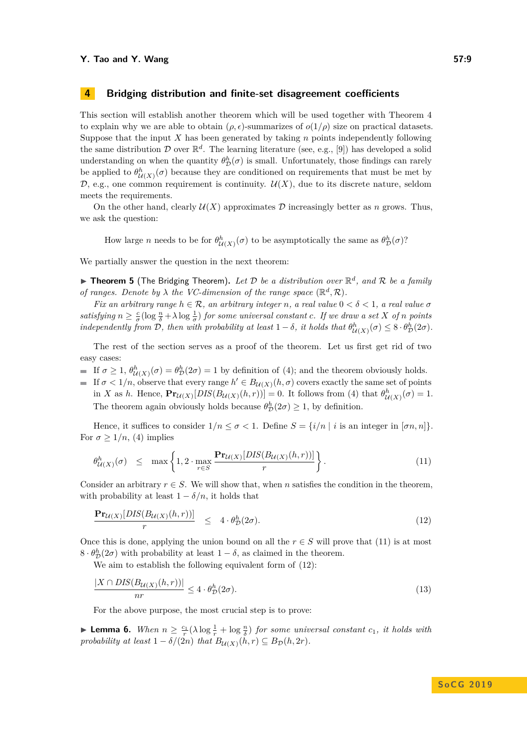#### **Y.** Tao and Y. Wang 57:9

## **4 Bridging distribution and finite-set disagreement coefficients**

This section will establish another theorem which will be used together with Theorem [4](#page-7-1) to explain why we are able to obtain  $(\rho, \epsilon)$ -summarizes of  $o(1/\rho)$  size on practical datasets. Suppose that the input *X* has been generated by taking *n* points independently following the same distribution  $\mathcal D$  over  $\mathbb R^d$ . The learning literature (see, e.g., [\[9\]](#page-13-15)) has developed a solid understanding on when the quantity  $\theta_{\mathcal{D}}^h(\sigma)$  is small. Unfortunately, those findings can rarely be applied to  $\theta^h_{\mathcal{U}(X)}(\sigma)$  because they are conditioned on requirements that must be met by D, e.g., one common requirement is continuity.  $\mathcal{U}(X)$ , due to its discrete nature, seldom meets the requirements.

On the other hand, clearly  $\mathcal{U}(X)$  approximates  $\mathcal D$  increasingly better as *n* grows. Thus, we ask the question:

How large *n* needs to be for  $\theta_{\mathcal{U}(X)}^h(\sigma)$  to be asymptotically the same as  $\theta_{\mathcal{D}}^h(\sigma)$ ?

We partially answer the question in the next theorem:

<span id="page-8-4"></span>▶ Theorem 5 (The Bridging Theorem). Let  $D$  be a distribution over  $\mathbb{R}^d$ , and  $R$  be a family *of ranges. Denote by*  $\lambda$  *the VC-dimension of the range space*  $(\mathbb{R}^d, \mathcal{R})$ *.* 

*Fix an arbitrary range*  $h \in \mathcal{R}$ *, an arbitrary integer n, a real value*  $0 < \delta < 1$ *, a real value*  $\sigma$ *satisfying*  $n \geq \frac{c}{\sigma}(\log \frac{n}{\delta} + \lambda \log \frac{1}{\sigma})$  *for some universal constant c. If we draw a set X of n points independently from*  $D$ *, then with probability at least*  $1 - \delta$ *, it holds that*  $\theta_{\mathcal{U}(X)}^h(\sigma) \leq 8 \cdot \theta_{\mathcal{D}}^h(2\sigma)$ *.* 

The rest of the section serves as a proof of the theorem. Let us first get rid of two easy cases:

- If  $\sigma \geq 1$ ,  $\theta_{\mathcal{U}(X)}^h(\sigma) = \theta_{\mathcal{D}}^h(2\sigma) = 1$  by definition of [\(4\)](#page-4-1); and the theorem obviously holds.
- If  $\sigma$  < 1/n, observe that every range  $h' \in B_{\mathcal{U}(X)}(h, \sigma)$  covers exactly the same set of points in *X* as *h*. Hence,  $\mathbf{Pr}_{U(X)}[DIS(B_{U(X)}(h,r))] = 0$ . It follows from [\(4\)](#page-4-1) that  $\theta_{U(X)}^h(\sigma) = 1$ . The theorem again obviously holds because  $\theta_{\mathcal{D}}^{h}(2\sigma) \geq 1$ , by definition.

Hence, it suffices to consider  $1/n \leq \sigma < 1$ . Define  $S = \{i/n \mid i \text{ is an integer in } [\sigma n, n]\}.$ For  $\sigma > 1/n$ , [\(4\)](#page-4-1) implies

<span id="page-8-0"></span>
$$
\theta_{\mathcal{U}(X)}^h(\sigma) \leq \max \left\{ 1, 2 \cdot \max_{r \in S} \frac{\mathbf{Pr}_{\mathcal{U}(X)}[DIS(B_{\mathcal{U}(X)}(h,r))]}{r} \right\}.
$$
\n(11)

Consider an arbitrary  $r \in S$ . We will show that, when *n* satisfies the condition in the theorem, with probability at least  $1 - \delta/n$ , it holds that

<span id="page-8-1"></span>
$$
\frac{\mathbf{Pr}_{\mathcal{U}(X)}[DIS(B_{\mathcal{U}(X)}(h,r))]}{r} \leq 4 \cdot \theta_{\mathcal{D}}^h(2\sigma). \tag{12}
$$

Once this is done, applying the union bound on all the  $r \in S$  will prove that [\(11\)](#page-8-0) is at most  $8 \cdot \theta_{\mathcal{D}}^h(2\sigma)$  with probability at least  $1 - \delta$ , as claimed in the theorem.

We aim to establish the following equivalent form of [\(12\)](#page-8-1):

<span id="page-8-2"></span>
$$
\frac{|X \cap DIS(B_{\mathcal{U}(X)}(h,r))|}{nr} \le 4 \cdot \theta_{\mathcal{D}}^h(2\sigma). \tag{13}
$$

For the above purpose, the most crucial step is to prove:

<span id="page-8-3"></span>**Lemma 6.** *When*  $n \geq \frac{c_1}{r}(\lambda \log \frac{1}{r} + \log \frac{n}{\delta})$  *for some universal constant*  $c_1$ *, it holds with probability at least*  $1 - \delta/(2n)$  *that*  $B_{\mathcal{U}(X)}(h, r) \subseteq B_{\mathcal{D}}(h, 2r)$ *.*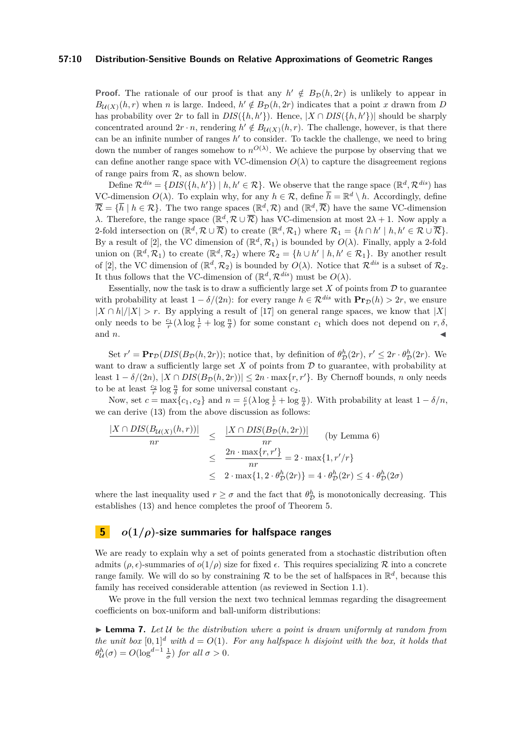#### **57:10 Distribution-Sensitive Bounds on Relative Approximations of Geometric Ranges**

**Proof.** The rationale of our proof is that any  $h' \notin B_{\mathcal{D}}(h, 2r)$  is unlikely to appear in  $B_{\mathcal{U}(X)}(h,r)$  when *n* is large. Indeed,  $h' \notin B_{\mathcal{D}}(h, 2r)$  indicates that a point *x* drawn from *D* has probability over 2*r* to fall in  $DIS({h, h')})$ . Hence,  $|X \cap DIS({h, h')})|$  should be sharply concentrated around  $2r \cdot n$ , rendering  $h' \notin B_{\mathcal{U}(X)}(h,r)$ . The challenge, however, is that there can be an infinite number of ranges  $h'$  to consider. To tackle the challenge, we need to bring down the number of ranges somehow to  $n^{O(\lambda)}$ . We achieve the purpose by observing that we can define another range space with VC-dimension  $O(\lambda)$  to capture the disagreement regions of range pairs from  $R$ , as shown below.

Define  $\mathcal{R}^{dis} = \{DIS(\{h, h'\}) \mid h, h' \in \mathcal{R}\}\.$  We observe that the range space  $(\mathbb{R}^d, \mathcal{R}^{dis})$  has VC-dimension  $O(\lambda)$ . To explain why, for any  $h \in \mathcal{R}$ , define  $\overline{h} = \mathbb{R}^d \setminus h$ . Accordingly, define  $\overline{\mathcal{R}} = {\overline{h} \mid h \in \mathcal{R}}.$  The two range spaces  $(\mathbb{R}^d, \mathcal{R})$  and  $(\mathbb{R}^d, \overline{\mathcal{R}})$  have the same VC-dimension *λ*. Therefore, the range space ( $\mathbb{R}^d$ ,  $\mathcal{R} \cup \overline{\mathcal{R}}$ ) has VC-dimension at most 2*λ* + 1. Now apply a 2-fold intersection on  $(\mathbb{R}^d, \mathcal{R} \cup \overline{\mathcal{R}})$  to create  $(\mathbb{R}^d, \mathcal{R}_1)$  where  $\mathcal{R}_1 = \{h \cap h' \mid h, h' \in \mathcal{R} \cup \overline{\mathcal{R}}\}.$ By a result of [\[2\]](#page-13-17), the VC dimension of  $(\mathbb{R}^d, \mathcal{R}_1)$  is bounded by  $O(\lambda)$ . Finally, apply a 2-fold union on  $(\mathbb{R}^d, \mathcal{R}_1)$  to create  $(\mathbb{R}^d, \mathcal{R}_2)$  where  $\mathcal{R}_2 = \{h \cup h' \mid h, h' \in \mathcal{R}_1\}$ . By another result of [\[2\]](#page-13-17), the VC dimension of  $(\mathbb{R}^d, \mathcal{R}_2)$  is bounded by  $O(\lambda)$ . Notice that  $\mathcal{R}^{dis}$  is a subset of  $\mathcal{R}_2$ . It thus follows that the VC-dimension of  $(\mathbb{R}^d, \mathcal{R}^{dis})$  must be  $O(\lambda)$ .

Essentially, now the task is to draw a sufficiently large set  $X$  of points from  $D$  to guarantee with probability at least  $1 - \delta/(2n)$ : for every range  $h \in \mathcal{R}^{dis}$  with  $\mathbf{Pr}_{\mathcal{D}}(h) > 2r$ , we ensure  $|X \cap h|/|X| > r$ . By applying a result of [\[17\]](#page-13-3) on general range spaces, we know that  $|X|$ only needs to be  $\frac{c_1}{r}(\lambda \log \frac{1}{r} + \log \frac{n}{\delta})$  for some constant  $c_1$  which does not depend on  $r, \delta$ , and  $n$ .

Set  $r' = \mathbf{Pr}_{\mathcal{D}}(DIS(B_{\mathcal{D}}(h, 2r))$ ; notice that, by definition of  $\theta_{\mathcal{D}}^h(2r)$ ,  $r' \leq 2r \cdot \theta_{\mathcal{D}}^h(2r)$ . We want to draw a sufficiently large set  $X$  of points from  $D$  to guarantee, with probability at least  $1 - \delta/(2n)$ ,  $|X \cap DIS(B_{\mathcal{D}}(h, 2r))| \leq 2n \cdot \max\{r, r'\}.$  By Chernoff bounds, *n* only needs to be at least  $\frac{c_2}{r} \log \frac{n}{\delta}$  for some universal constant  $c_2$ .

Now, set  $c = \max\{c_1, c_2\}$  and  $n = \frac{c}{r}(\lambda \log \frac{1}{r} + \log \frac{n}{\delta})$ . With probability at least  $1 - \delta/n$ , we can derive [\(13\)](#page-8-2) from the above discussion as follows:

$$
\frac{|X \cap DIS(B_{\mathcal{U}(X)}(h,r))|}{nr} \leq \frac{|X \cap DIS(B_{\mathcal{D}}(h,2r))|}{nr} \quad \text{(by Lemma 6)}
$$

$$
\leq \frac{2n \cdot \max\{r,r'\}}{nr} = 2 \cdot \max\{1,r'/r\}
$$

$$
\leq 2 \cdot \max\{1,2 \cdot \theta_{\mathcal{D}}^h(2r)\} = 4 \cdot \theta_{\mathcal{D}}^h(2r) \leq 4 \cdot \theta_{\mathcal{D}}^h(2\sigma)
$$

where the last inequality used  $r \geq \sigma$  and the fact that  $\theta_{\mathcal{D}}^h$  is monotonically decreasing. This establishes [\(13\)](#page-8-2) and hence completes the proof of Theorem [5.](#page-8-4)

### **5** *o***(1***/ρ***)-size summaries for halfspace ranges**

We are ready to explain why a set of points generated from a stochastic distribution often admits ( $\rho, \epsilon$ )-summaries of  $o(1/\rho)$  size for fixed  $\epsilon$ . This requires specializing  $\mathcal R$  into a concrete range family. We will do so by constraining R to be the set of halfspaces in  $\mathbb{R}^d$ , because this family has received considerable attention (as reviewed in Section [1.1\)](#page-1-0).

We prove in the full version the next two technical lemmas regarding the disagreement coefficients on box-uniform and ball-uniform distributions:

<span id="page-9-0"></span>**Lemma 7.** Let U be the distribution where a point is drawn uniformly at random from *the unit box*  $[0,1]^d$  *with*  $d = O(1)$ *. For any halfspace h disjoint with the box, it holds that*  $\theta_{\mathcal{U}}^{h}(\sigma) = O(\log^{d-1} \frac{1}{\sigma})$  *for all*  $\sigma > 0$ *.*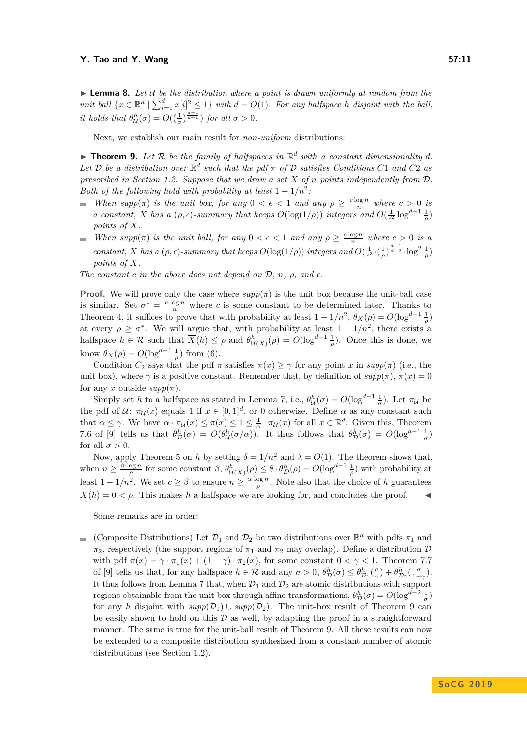#### **Y.** Tao and Y. Wang 57:11

 $\triangleright$  **Lemma 8.** Let U be the distribution where a point is drawn uniformly at random from the *unit ball*  $\{x \in \mathbb{R}^d \mid \sum_{i=1}^d x[i]^2 \leq 1\}$  *with*  $d = O(1)$ *. For any halfspace h disjoint with the ball, it holds that*  $\theta_{\mathcal{U}}^{h}(\sigma) = O\left(\left(\frac{1}{\sigma}\right)^{\frac{d-1}{d+1}}\right)$  *for all*  $\sigma > 0$ *.* 

Next, we establish our main result for *non-uniform* distributions:

<span id="page-10-0"></span> $\blacktriangleright$  **Theorem 9.** Let R be the family of halfspaces in  $\mathbb{R}^d$  with a constant dimensionality  $d$ *.* Let D be a distribution over  $\mathbb{R}^d$  such that the pdf  $\pi$  of D satisfies Conditions C1 and C2 as *prescribed in Section [1.2.](#page-2-1) Suppose that we draw a set X of n points independently from* D*. Both of the following hold with probability at least*  $1 - 1/n^2$ .

- *When*  $supp(\pi)$  *is the unit box, for any*  $0 < \epsilon < 1$  *and any*  $\rho \geq \frac{c \log n}{n}$  *where*  $c > 0$  *is a* constant, *X has a* (*ρ, ε*)*-summary that keeps*  $O(\log(1/\rho))$  *integers and*  $O(\frac{1}{\epsilon^2} \log^{d+1} \frac{1}{\rho})$ *points of X.*
- *When*  $supp(\pi)$  *is the unit ball, for any*  $0 < \epsilon < 1$  *and any*  $\rho \geq \frac{c \log n}{n}$  *where*  $c > 0$  *is a*  $\frac{1}{2}$ *constant, X has a* ( $\rho, \epsilon$ )*-summary that keeps*  $O(\log(1/\rho))$  *integers and*  $O(\frac{1}{\epsilon^2} \cdot (\frac{1}{\rho})^{\frac{d-1}{d+2}} \cdot \log^2 \frac{1}{\rho})$ *points of X.*

*The constant c in the above does not depend on*  $D$ *, n,*  $\rho$ *, and*  $\epsilon$ *.* 

**Proof.** We will prove only the case where  $supp(\pi)$  is the unit box because the unit-ball case is similar. Set  $\sigma^* = \frac{c \cdot \log n}{n}$  where *c* is some constant to be determined later. Thanks to Theorem [4,](#page-7-1) it suffices to prove that with probability at least  $1 - 1/n^2$ ,  $\theta_X(\rho) = O(\log^{d-1} \frac{1}{\rho})$ at every  $\rho \geq \sigma^*$ . We will argue that, with probability at least  $1 - 1/n^2$ , there exists a halfspace  $h \in \mathcal{R}$  such that  $\overline{X}(h) \leq \rho$  and  $\theta^h_{\mathcal{U}(X)}(\rho) = O(\log^{d-1} \frac{1}{\rho})$ . Once this is done, we know  $\theta_X(\rho) = O(\log^{d-1} \frac{1}{\rho})$  from [\(6\)](#page-4-2).

Condition  $C_2$  says that the pdf  $\pi$  satisfies  $\pi(x) \geq \gamma$  for any point *x* in  $supp(\pi)$  (i.e., the unit box), where  $\gamma$  is a positive constant. Remember that, by definition of  $supp(\pi)$ ,  $\pi(x) = 0$ for any *x* outside  $supp(\pi)$ .

Simply set *h* to a halfspace as stated in Lemma [7,](#page-9-0) i.e.,  $\theta_{\mathcal{U}}^h(\sigma) = O(\log^{d-1} \frac{1}{\sigma})$ . Let  $\pi_{\mathcal{U}}$  be the pdf of  $U: \pi_U(x)$  equals 1 if  $x \in [0,1]^d$ , or 0 otherwise. Define  $\alpha$  as any constant such that  $\alpha \leq \gamma$ . We have  $\alpha \cdot \pi_{\mathcal{U}}(x) \leq \pi(x) \leq 1 \leq \frac{1}{\alpha} \cdot \pi_{\mathcal{U}}(x)$  for all  $x \in \mathbb{R}^d$ . Given this, Theorem 7.6 of [\[9\]](#page-13-15) tells us that  $\theta_{\mathcal{D}}^h(\sigma) = O(\theta_{\mathcal{U}}^h(\sigma/\alpha))$ . It thus follows that  $\theta_{\mathcal{D}}^h(\sigma) = O(\log^{d-1} \frac{1}{\sigma})$ for all  $\sigma > 0$ .

Now, apply Theorem [5](#page-8-4) on *h* by setting  $\delta = 1/n^2$  and  $\lambda = O(1)$ . The theorem shows that, when  $n \geq \frac{\beta \cdot \log n}{\rho}$  for some constant  $\beta$ ,  $\theta_{\mathcal{U}(X)}^h(\rho) \leq 8 \cdot \theta_D^h(\rho) = O(\log^{d-1} \frac{1}{\rho})$  with probability at least  $1 - 1/n^2$ . We set  $c \ge \beta$  to ensure  $n \ge \frac{\alpha \cdot \log n}{\rho}$ . Note also that the choice of *h* guarantees  $\overline{X}(h) = 0 < \rho$ . This makes *h* a halfspace we are looking for, and concludes the proof.

Some remarks are in order:

(Composite Distributions) Let  $\mathcal{D}_1$  and  $\mathcal{D}_2$  be two distributions over  $\mathbb{R}^d$  with pdfs  $\pi_1$  and *π*<sub>2</sub>, respectively (the support regions of  $π_1$  and  $π_2$  may overlap). Define a distribution  $D$ with pdf  $\pi(x) = \gamma \cdot \pi_1(x) + (1 - \gamma) \cdot \pi_2(x)$ , for some constant  $0 < \gamma < 1$ . Theorem 7.7 of [\[9\]](#page-13-15) tells us that, for any halfspace  $h \in \mathcal{R}$  and any  $\sigma > 0$ ,  $\theta_{\mathcal{D}}^h(\sigma) \leq \theta_{\mathcal{D}_1}^h(\frac{\sigma}{\gamma}) + \theta_{\mathcal{D}_2}^h(\frac{\sigma}{1-\gamma})$ . It thus follows from Lemma [7](#page-9-0) that, when  $\mathcal{D}_1$  and  $\mathcal{D}_2$  are atomic distributions with support regions obtainable from the unit box through affine transformations,  $\theta_{\cal D}^h(\sigma) = O(\log^{d-2} \frac{1}{\sigma})$ for any *h* disjoint with  $supp(D_1) \cup supp(D_2)$ . The unit-box result of Theorem [9](#page-10-0) can be easily shown to hold on this  $\mathcal D$  as well, by adapting the proof in a straightforward manner. The same is true for the unit-ball result of Theorem [9.](#page-10-0) All these results can now be extended to a composite distribution synthesized from a constant number of atomic distributions (see Section [1.2\)](#page-2-1).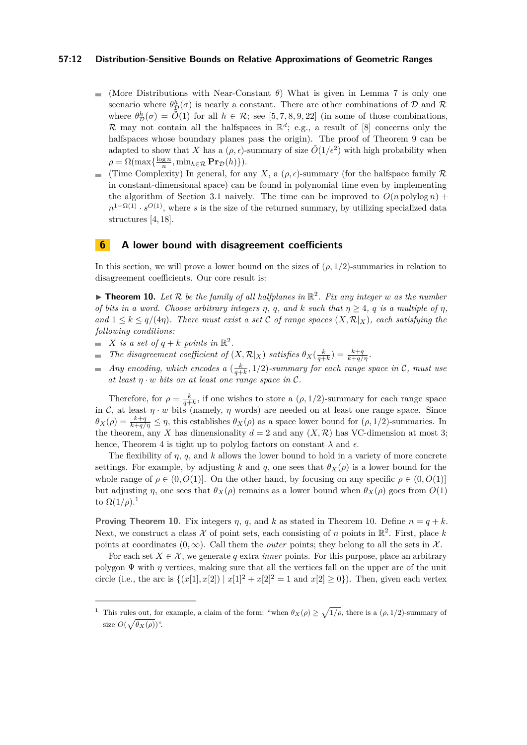#### **57:12 Distribution-Sensitive Bounds on Relative Approximations of Geometric Ranges**

- (More Distributions with Near-Constant *θ*) What is given in Lemma [7](#page-9-0) is only one  $\blacksquare$ scenario where  $\theta_{\mathcal{D}}^h(\sigma)$  is nearly a constant. There are other combinations of  $\mathcal{D}$  and  $\mathcal{R}$ where  $\theta_{\mathcal{D}}^h(\sigma) = \tilde{O}(1)$  for all  $h \in \mathcal{R}$ ; see [\[5,](#page-13-18) [7,](#page-13-19) [8,](#page-13-13) [9,](#page-13-15) [22\]](#page-13-20) (in some of those combinations, R may not contain all the halfspaces in  $\mathbb{R}^d$ ; e.g., a result of [\[8\]](#page-13-13) concerns only the halfspaces whose boundary planes pass the origin). The proof of Theorem [9](#page-10-0) can be adapted to show that *X* has a  $(\rho, \epsilon)$ -summary of size  $\tilde{O}(1/\epsilon^2)$  with high probability when  $\rho = \Omega(\max\{\frac{\log n}{n}, \min_{h \in \mathcal{R}} \mathbf{Pr}_{\mathcal{D}}(h)\}).$
- (Time Complexity) In general, for any *X*, a  $(\rho, \epsilon)$ -summary (for the halfspace family R  $\equiv$ in constant-dimensional space) can be found in polynomial time even by implementing the algorithm of Section [3.1](#page-5-2) naively. The time can be improved to  $O(n \text{ polylog } n)$  +  $n^{1-\Omega(1)} \cdot s^{O(1)}$ , where *s* is the size of the returned summary, by utilizing specialized data structures [\[4,](#page-13-21) [18\]](#page-13-22).

#### **6 A lower bound with disagreement coefficients**

In this section, we will prove a lower bound on the sizes of  $(\rho, 1/2)$ -summaries in relation to disagreement coefficients. Our core result is:

<span id="page-11-1"></span> $\blacktriangleright$  **Theorem 10.** Let  $\mathcal{R}$  be the family of all halfplanes in  $\mathbb{R}^2$ . Fix any integer  $w$  as the number *of bits in a word. Choose arbitrary integers*  $\eta$ ,  $q$ , and  $k$  *such that*  $\eta \geq 4$ ,  $q$  *is a multiple of*  $\eta$ , *and*  $1 \leq k \leq q/(4\eta)$ *. There must exist a set* C *of range spaces*  $(X, \mathcal{R}|_X)$ *, each satisfying the following conditions:*

- *X is a set of*  $q + k$  *points in*  $\mathbb{R}^2$ *.*
- *The disagreement coefficient of*  $(X, \mathcal{R}|_X)$  *satisfies*  $\theta_X(\frac{k}{q+k}) = \frac{k+q}{k+q/q}$ .  $\overline{\phantom{a}}$
- *Any encoding, which encodes a*  $(\frac{k}{q+k}, 1/2)$ *-summary for each range space in* C, must use  $\overline{\phantom{a}}$ *at least*  $\eta \cdot w$  *bits on at least one range space in*  $\mathcal{C}$ *.*

Therefore, for  $\rho = \frac{k}{q+k}$ , if one wishes to store a  $(\rho, 1/2)$ -summary for each range space in C, at least  $\eta \cdot w$  bits (namely,  $\eta$  words) are needed on at least one range space. Since  $\theta_X(\rho) = \frac{k+q}{k+q/p} \leq \eta$ , this establishes  $\theta_X(\rho)$  as a space lower bound for  $(\rho, 1/2)$ -summaries. In the theorem, any *X* has dimensionality  $d = 2$  and any  $(X, \mathcal{R})$  has VC-dimension at most 3; hence, Theorem [4](#page-7-1) is tight up to polylog factors on constant  $\lambda$  and  $\epsilon$ .

The flexibility of  $\eta$ ,  $q$ , and  $k$  allows the lower bound to hold in a variety of more concrete settings. For example, by adjusting *k* and *q*, one sees that  $\theta_X(\rho)$  is a lower bound for the whole range of  $\rho \in (0, O(1)]$ . On the other hand, by focusing on any specific  $\rho \in (0, O(1)]$ but adjusting *η*, one sees that *θX*(*ρ*) remains as a lower bound when *θX*(*ρ*) goes from *O*(1) to  $\Omega(1/\rho).$  $\Omega(1/\rho).$  $\Omega(1/\rho).$ <sup>1</sup>

**Proving Theorem [10.](#page-11-1)** Fix integers  $\eta$ ,  $q$ , and  $k$  as stated in Theorem 10. Define  $n = q + k$ . Next, we construct a class  $\mathcal X$  of point sets, each consisting of *n* points in  $\mathbb{R}^2$ . First, place k points at coordinates  $(0, \infty)$ . Call them the *outer* points; they belong to all the sets in X.

For each set  $X \in \mathcal{X}$ , we generate *q* extra *inner* points. For this purpose, place an arbitrary polygon  $\Psi$  with  $\eta$  vertices, making sure that all the vertices fall on the upper arc of the unit circle (i.e., the arc is  $\{(x[1], x[2]) | x[1]^2 + x[2]^2 = 1 \text{ and } x[2] \ge 0\}$ ). Then, given each vertex

<span id="page-11-0"></span><sup>&</sup>lt;sup>1</sup> This rules out, for example, a claim of the form: "when  $\theta_X(\rho) \geq \sqrt{1/\rho}$ , there is a  $(\rho, 1/2)$ -summary of size  $O(\sqrt{\theta_X(\rho)})$ ".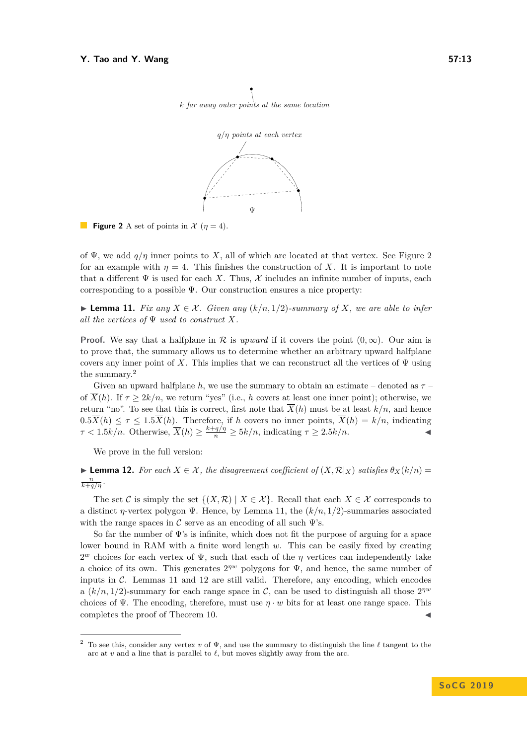

<span id="page-12-0"></span>k far away outer points at the same location



of  $\Psi$ , we add  $q/\eta$  inner points to X, all of which are located at that vertex. See Figure [2](#page-12-0) for an example with  $\eta = 4$ . This finishes the construction of X. It is important to note that a different  $\Psi$  is used for each X. Thus,  $\mathcal X$  includes an infinite number of inputs, each corresponding to a possible  $\Psi$ . Our construction ensures a nice property:

<span id="page-12-2"></span>► **Lemma 11.** *Fix any*  $X \in \mathcal{X}$ *. Given any*  $(k/n, 1/2)$ *-summary of*  $X$ *, we are able to infer all the vertices of* Ψ *used to construct X.*

**Proof.** We say that a halfplane in R is *upward* if it covers the point  $(0, \infty)$ . Our aim is to prove that, the summary allows us to determine whether an arbitrary upward halfplane covers any inner point of *X*. This implies that we can reconstruct all the vertices of  $\Psi$  using the summary.[2](#page-12-1)

Given an upward halfplane *h*, we use the summary to obtain an estimate – denoted as *τ* – of  $\overline{X}(h)$ . If  $\tau \geq 2k/n$ , we return "yes" (i.e., h covers at least one inner point); otherwise, we return "no". To see that this is correct, first note that  $\overline{X}(h)$  must be at least  $k/n$ , and hence  $0.5\overline{X}(h) \leq \tau \leq 1.5\overline{X}(h)$ . Therefore, if *h* covers no inner points,  $\overline{X}(h) = k/n$ , indicating  $\tau < 1.5k/n$ . Otherwise,  $\overline{X}(h) \ge \frac{k+q/\eta}{n} \ge 5k/n$ , indicating  $\tau \ge 2.5k/n$ .

We prove in the full version:

<span id="page-12-3"></span>**► Lemma 12.** For each  $X \in \mathcal{X}$ , the disagreement coefficient of  $(X, \mathcal{R}|_X)$  satisfies  $\theta_X(k/n) =$  $\frac{n}{k+q/\eta}$ .

The set C is simply the set  $\{(X,\mathcal{R}) \mid X \in \mathcal{X}\}\.$  Recall that each  $X \in \mathcal{X}$  corresponds to a distinct *η*-vertex polygon Ψ. Hence, by Lemma [11,](#page-12-2) the (*k/n,* 1*/*2)-summaries associated with the range spaces in C serve as an encoding of all such  $\Psi$ 's.

So far the number of  $\Psi$ 's is infinite, which does not fit the purpose of arguing for a space lower bound in RAM with a finite word length *w*. This can be easily fixed by creating  $2^w$  choices for each vertex of  $\Psi$ , such that each of the  $\eta$  vertices can independently take a choice of its own. This generates  $2^{pw}$  polygons for  $\Psi$ , and hence, the same number of inputs in  $C$ . Lemmas [11](#page-12-2) and [12](#page-12-3) are still valid. Therefore, any encoding, which encodes a  $(k/n, 1/2)$ -summary for each range space in C, can be used to distinguish all those  $2^{qw}$ choices of  $\Psi$ . The encoding, therefore, must use  $\eta \cdot w$  bits for at least one range space. This completes the proof of Theorem [10.](#page-11-1)

<span id="page-12-1"></span><sup>&</sup>lt;sup>2</sup> To see this, consider any vertex *v* of  $\Psi$ , and use the summary to distinguish the line  $\ell$  tangent to the arc at  $v$  and a line that is parallel to  $\ell$ , but moves slightly away from the arc.